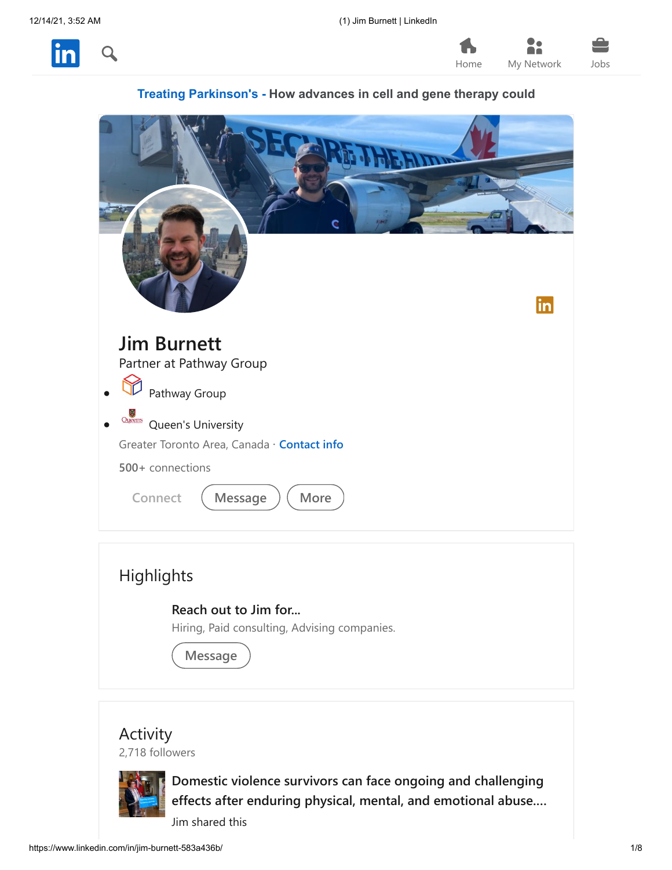







| Reach out to Jim for<br>Hiring, Paid consulting, Advising companies. |  |
|----------------------------------------------------------------------|--|
| Message                                                              |  |

### Activity

2,718 followers



**Domestic violence survivors can face ongoing and challenging [effects after enduring physical, mental, and emotional abuse.…](https://www.linkedin.com/feed/update/urn%3Ali%3Aactivity%3A6864362066401120256)** Jim shared this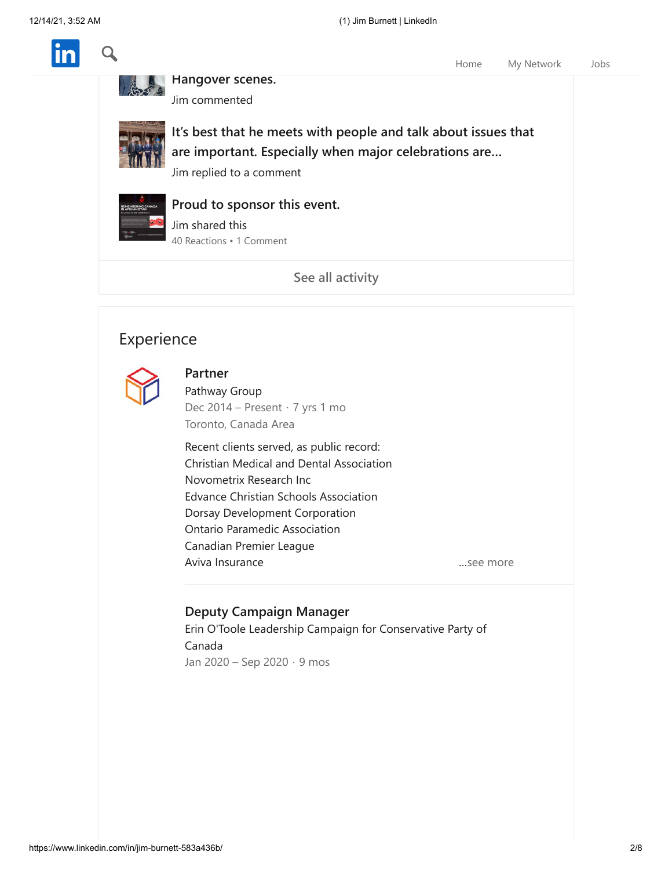

**Hangover scenes.** Jim commented



**[It's best that he meets with people and talk about issues that](https://www.linkedin.com/feed/update/urn%3Ali%3Aactivity%3A6863646357299748865?commentUrn=urn%3Ali%3Acomment%3A%28activity%3A6862815669021396992%2C6863646333220261888%29) are important. Especially when major celebrations are…**

**[I wish we saw the Champ in Vegas and recreated some](https://www.linkedin.com/feed/update/urn%3Ali%3Aactivity%3A6863647508028035072?commentUrn=urn%3Ali%3Acomment%3A%28activity%3A6863527752365076480%2C6863647420635496448%29)**

Jim replied to a comment



**[Proud to sponsor this event.](https://www.linkedin.com/feed/update/urn%3Ali%3Aactivity%3A6863478398249967616)**

40 Reactions • 1 Comment Jim shared this

**[See all activity](https://www.linkedin.com/in/jim-burnett-583a436b/detail/recent-activity/)**

## Experience



#### **Partner**

Pathway Group Dec 2014 – Present · 7 yrs 1 mo [Toronto, Canada Area](https://www.linkedin.com/company/pathway-group/)

Recent clients served, as public record: Christian Medical and Dental Association Novometrix Research Inc Edvance Christian Schools Association Dorsay Development Corporation Ontario Paramedic Association Canadian Premier League Aviva Insurance …see more

Home [My Network](https://www.linkedin.com/mynetwork/) [Jobs](https://www.linkedin.com/jobs/)

#### **Deputy Campaign Manager**

[Erin O'Toole Leadership Campaign for Conservative Party of](https://www.linkedin.com/search/results/all/?keywords=Erin%20O%27Toole%20Leadership%20Campaign%20for%20Conservative%20Party%20of%20Canada&sid=dVa) Canada Jan 2020 – Sep 2020 · 9 mos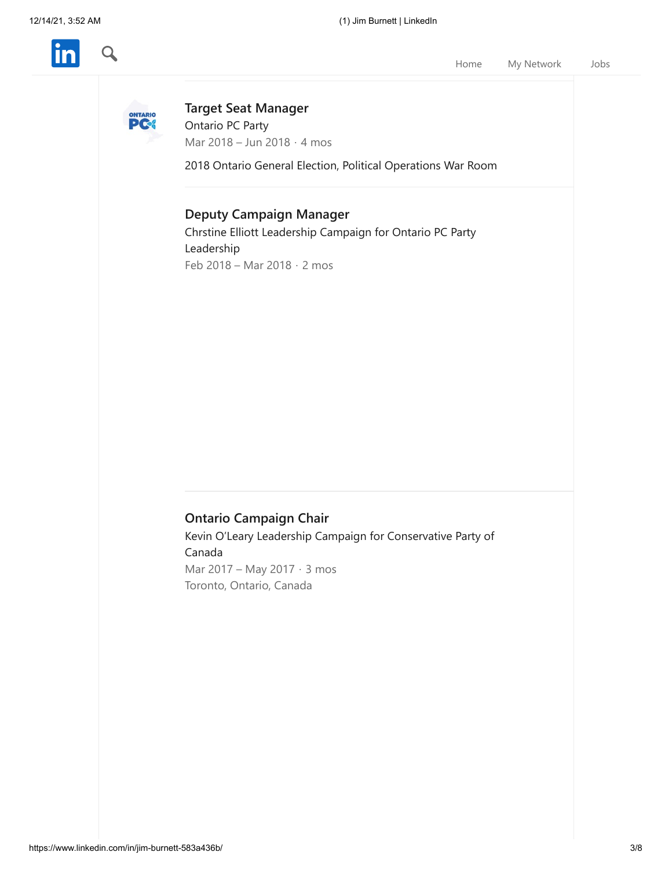

[Home](https://www.linkedin.com/feed/) [My Network](https://www.linkedin.com/mynetwork/) [Jobs](https://www.linkedin.com/jobs/)



**[Target Seat Manager](https://www.linkedin.com/company/ontario-pc-party/)** Ontario PC Party Mar 2018 – Jun 2018 · 4 mos

2018 Ontario General Election, Political Operations War Room

#### **Deputy Campaign Manager**

[Chrstine Elliott Leadership Campaign for Ontario PC Party](https://www.linkedin.com/search/results/all/?keywords=Chrstine%20Elliott%20Leadership%20Campaign%20for%20Ontario%20PC%20Party%20Leadership&sid=dVa) Leadership Feb 2018 – Mar 2018 · 2 mos

### **Ontario Campaign Chair**

[Kevin O'Leary Leadership Campaign for Conservative Party of](https://www.linkedin.com/search/results/all/?keywords=Kevin%20O%E2%80%99Leary%20Leadership%20Campaign%20for%20Conservative%20Party%20of%20Canada&sid=dVa) Canada Mar 2017 – May 2017 · 3 mos Toronto, Ontario, Canada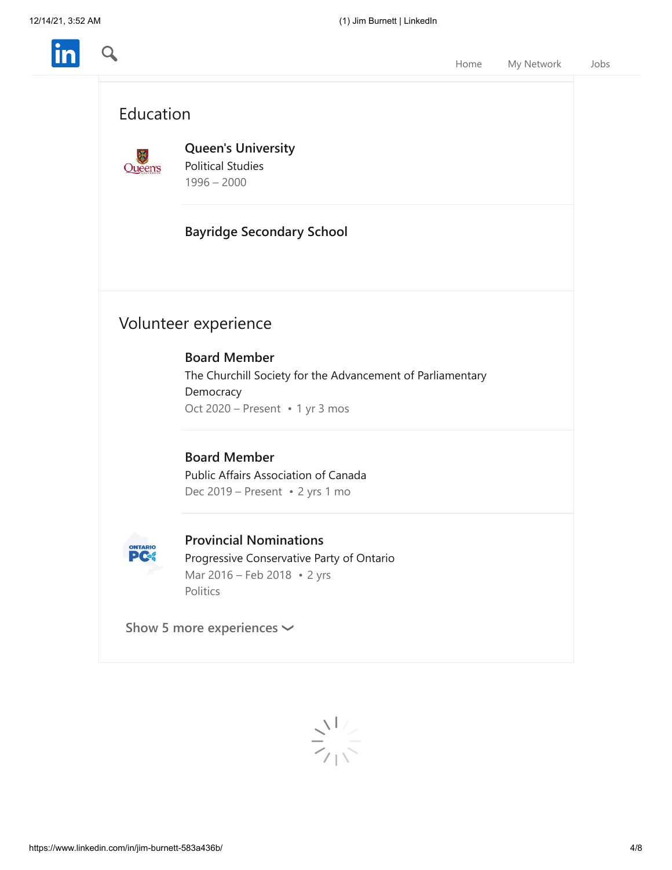Q





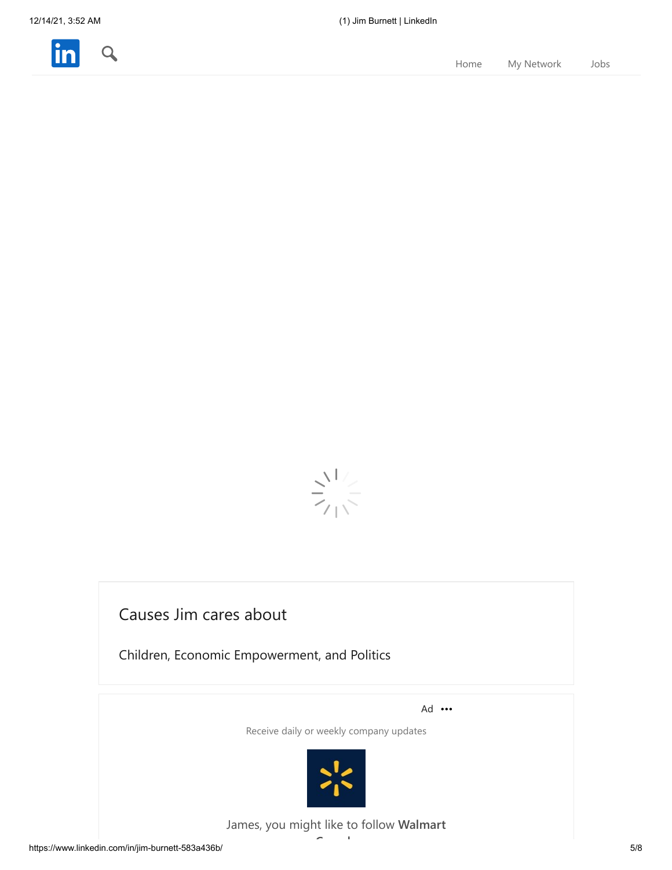



# Causes Jim cares about

Children, Economic Empowerment, and Politics

Ad ...

Receive daily or weekly company updates



James, you might like to follow **Walmart C d**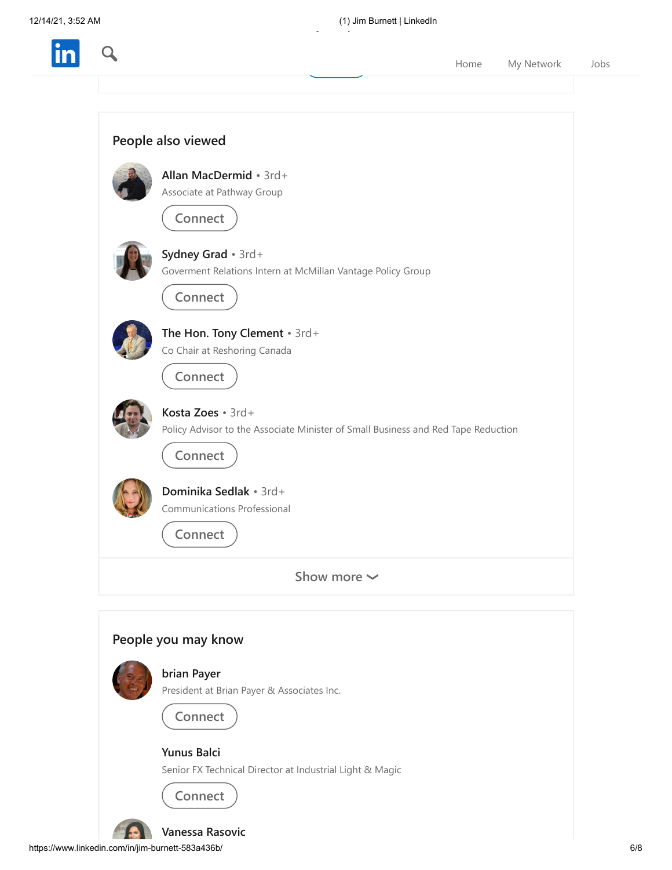$\boldsymbol{\alpha}$ 

**Canada**

**Flome** [My Network](https://www.linkedin.com/mynetwork/) [Jobs](https://www.linkedin.com/jobs/)



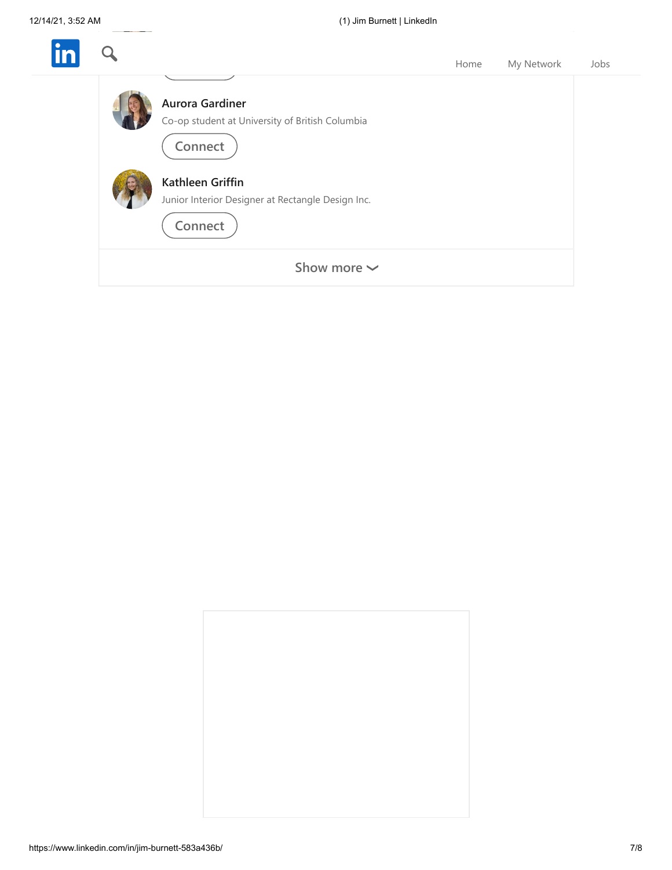| $\bullet$ |                                                                                      | Home | My Network | Jobs |
|-----------|--------------------------------------------------------------------------------------|------|------------|------|
|           | <b>Aurora Gardiner</b><br>Co-op student at University of British Columbia<br>Connect |      |            |      |
|           | Kathleen Griffin<br>Junior Interior Designer at Rectangle Design Inc.<br>Connect     |      |            |      |
|           | Show more $\sim$                                                                     |      |            |      |